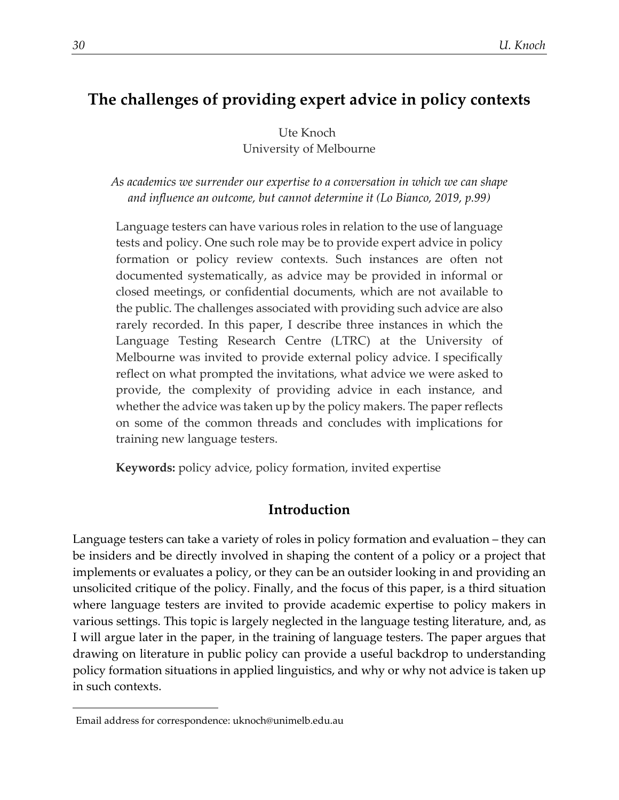# **The challenges of providing expert advice in policy contexts**

Ute Knoch[1](#page-0-0) University of Melbourne

*As academics we surrender our expertise to a conversation in which we can shape and influence an outcome, but cannot determine it (Lo Bianco, 2019, p.99)*

Language testers can have various roles in relation to the use of language tests and policy. One such role may be to provide expert advice in policy formation or policy review contexts. Such instances are often not documented systematically, as advice may be provided in informal or closed meetings, or confidential documents, which are not available to the public. The challenges associated with providing such advice are also rarely recorded. In this paper, I describe three instances in which the Language Testing Research Centre (LTRC) at the University of Melbourne was invited to provide external policy advice. I specifically reflect on what prompted the invitations, what advice we were asked to provide, the complexity of providing advice in each instance, and whether the advice was taken up by the policy makers. The paper reflects on some of the common threads and concludes with implications for training new language testers.

**Keywords:** policy advice, policy formation, invited expertise

# **Introduction**

Language testers can take a variety of roles in policy formation and evaluation – they can be insiders and be directly involved in shaping the content of a policy or a project that implements or evaluates a policy, or they can be an outsider looking in and providing an unsolicited critique of the policy. Finally, and the focus of this paper, is a third situation where language testers are invited to provide academic expertise to policy makers in various settings. This topic is largely neglected in the language testing literature, and, as I will argue later in the paper, in the training of language testers. The paper argues that drawing on literature in public policy can provide a useful backdrop to understanding policy formation situations in applied linguistics, and why or why not advice is taken up in such contexts.

<span id="page-0-0"></span><sup>1</sup>Email address for correspondence: uknoch@unimelb.edu.au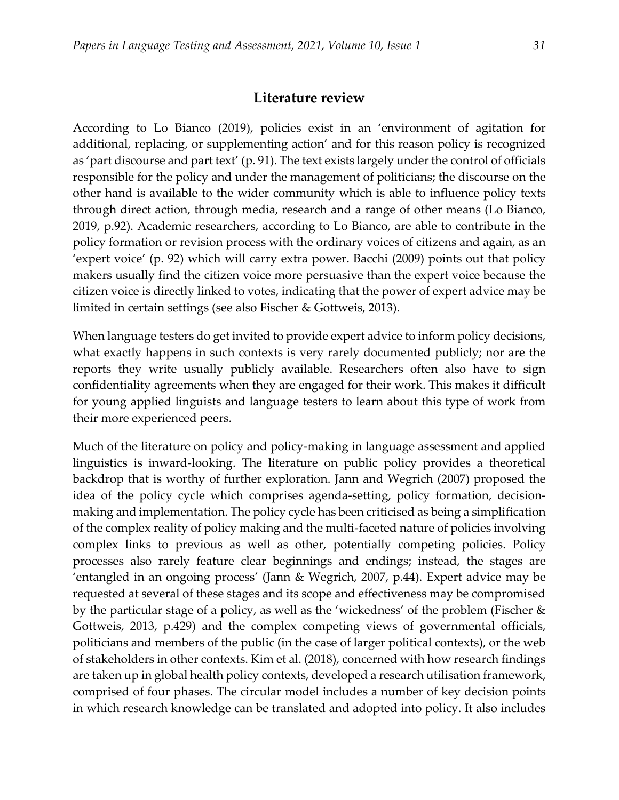#### **Literature review**

According to Lo Bianco (2019), policies exist in an 'environment of agitation for additional, replacing, or supplementing action' and for this reason policy is recognized as 'part discourse and part text' (p. 91). The text exists largely under the control of officials responsible for the policy and under the management of politicians; the discourse on the other hand is available to the wider community which is able to influence policy texts through direct action, through media, research and a range of other means (Lo Bianco, 2019, p.92). Academic researchers, according to Lo Bianco, are able to contribute in the policy formation or revision process with the ordinary voices of citizens and again, as an 'expert voice' (p. 92) which will carry extra power. Bacchi (2009) points out that policy makers usually find the citizen voice more persuasive than the expert voice because the citizen voice is directly linked to votes, indicating that the power of expert advice may be limited in certain settings (see also Fischer & Gottweis, 2013).

When language testers do get invited to provide expert advice to inform policy decisions, what exactly happens in such contexts is very rarely documented publicly; nor are the reports they write usually publicly available. Researchers often also have to sign confidentiality agreements when they are engaged for their work. This makes it difficult for young applied linguists and language testers to learn about this type of work from their more experienced peers.

Much of the literature on policy and policy-making in language assessment and applied linguistics is inward-looking. The literature on public policy provides a theoretical backdrop that is worthy of further exploration. Jann and Wegrich (2007) proposed the idea of the policy cycle which comprises agenda-setting, policy formation, decisionmaking and implementation. The policy cycle has been criticised as being a simplification of the complex reality of policy making and the multi-faceted nature of policies involving complex links to previous as well as other, potentially competing policies. Policy processes also rarely feature clear beginnings and endings; instead, the stages are 'entangled in an ongoing process' (Jann & Wegrich, 2007, p.44). Expert advice may be requested at several of these stages and its scope and effectiveness may be compromised by the particular stage of a policy, as well as the 'wickedness' of the problem (Fischer & Gottweis, 2013, p.429) and the complex competing views of governmental officials, politicians and members of the public (in the case of larger political contexts), or the web of stakeholders in other contexts. Kim et al. (2018), concerned with how research findings are taken up in global health policy contexts, developed a research utilisation framework, comprised of four phases. The circular model includes a number of key decision points in which research knowledge can be translated and adopted into policy. It also includes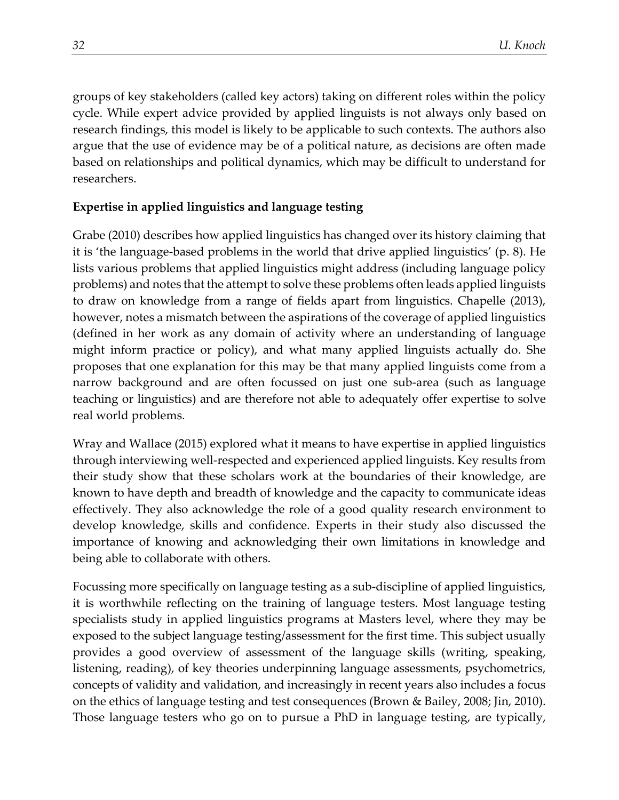groups of key stakeholders (called key actors) taking on different roles within the policy cycle. While expert advice provided by applied linguists is not always only based on research findings, this model is likely to be applicable to such contexts. The authors also argue that the use of evidence may be of a political nature, as decisions are often made based on relationships and political dynamics, which may be difficult to understand for researchers.

### **Expertise in applied linguistics and language testing**

Grabe (2010) describes how applied linguistics has changed over its history claiming that it is 'the language-based problems in the world that drive applied linguistics' (p. 8). He lists various problems that applied linguistics might address (including language policy problems) and notes that the attempt to solve these problems often leads applied linguists to draw on knowledge from a range of fields apart from linguistics. Chapelle (2013), however, notes a mismatch between the aspirations of the coverage of applied linguistics (defined in her work as any domain of activity where an understanding of language might inform practice or policy), and what many applied linguists actually do. She proposes that one explanation for this may be that many applied linguists come from a narrow background and are often focussed on just one sub-area (such as language teaching or linguistics) and are therefore not able to adequately offer expertise to solve real world problems.

Wray and Wallace (2015) explored what it means to have expertise in applied linguistics through interviewing well-respected and experienced applied linguists. Key results from their study show that these scholars work at the boundaries of their knowledge, are known to have depth and breadth of knowledge and the capacity to communicate ideas effectively. They also acknowledge the role of a good quality research environment to develop knowledge, skills and confidence. Experts in their study also discussed the importance of knowing and acknowledging their own limitations in knowledge and being able to collaborate with others.

Focussing more specifically on language testing as a sub-discipline of applied linguistics, it is worthwhile reflecting on the training of language testers. Most language testing specialists study in applied linguistics programs at Masters level, where they may be exposed to the subject language testing/assessment for the first time. This subject usually provides a good overview of assessment of the language skills (writing, speaking, listening, reading), of key theories underpinning language assessments, psychometrics, concepts of validity and validation, and increasingly in recent years also includes a focus on the ethics of language testing and test consequences (Brown & Bailey, 2008; Jin, 2010). Those language testers who go on to pursue a PhD in language testing, are typically,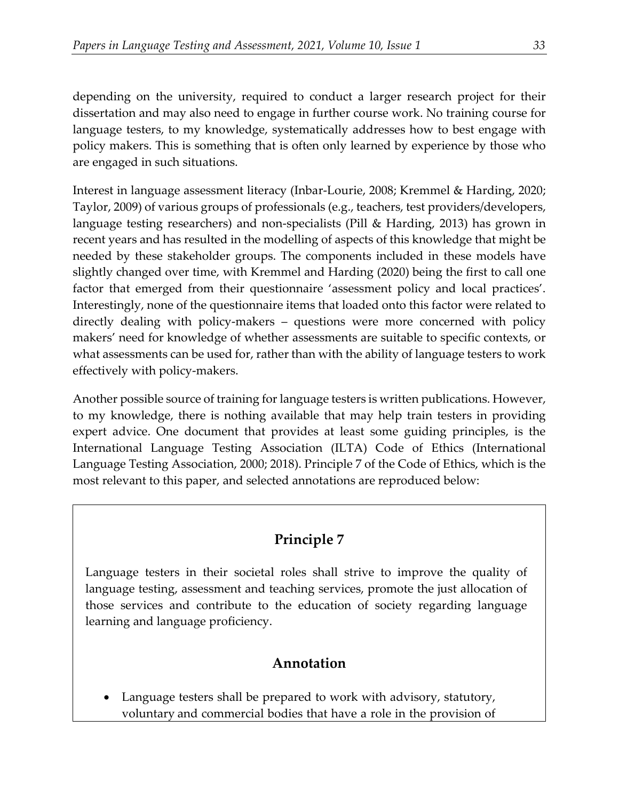depending on the university, required to conduct a larger research project for their dissertation and may also need to engage in further course work. No training course for language testers, to my knowledge, systematically addresses how to best engage with policy makers. This is something that is often only learned by experience by those who are engaged in such situations.

Interest in language assessment literacy (Inbar-Lourie, 2008; Kremmel & Harding, 2020; Taylor, 2009) of various groups of professionals (e.g., teachers, test providers/developers, language testing researchers) and non-specialists (Pill & Harding, 2013) has grown in recent years and has resulted in the modelling of aspects of this knowledge that might be needed by these stakeholder groups. The components included in these models have slightly changed over time, with Kremmel and Harding (2020) being the first to call one factor that emerged from their questionnaire 'assessment policy and local practices'. Interestingly, none of the questionnaire items that loaded onto this factor were related to directly dealing with policy-makers – questions were more concerned with policy makers' need for knowledge of whether assessments are suitable to specific contexts, or what assessments can be used for, rather than with the ability of language testers to work effectively with policy-makers.

Another possible source of training for language testers is written publications. However, to my knowledge, there is nothing available that may help train testers in providing expert advice. One document that provides at least some guiding principles, is the International Language Testing Association (ILTA) Code of Ethics (International Language Testing Association, 2000; 2018). Principle 7 of the Code of Ethics, which is the most relevant to this paper, and selected annotations are reproduced below:

# **Principle 7**

Language testers in their societal roles shall strive to improve the quality of language testing, assessment and teaching services, promote the just allocation of those services and contribute to the education of society regarding language learning and language proficiency.

# **Annotation**

• Language testers shall be prepared to work with advisory, statutory, voluntary and commercial bodies that have a role in the provision of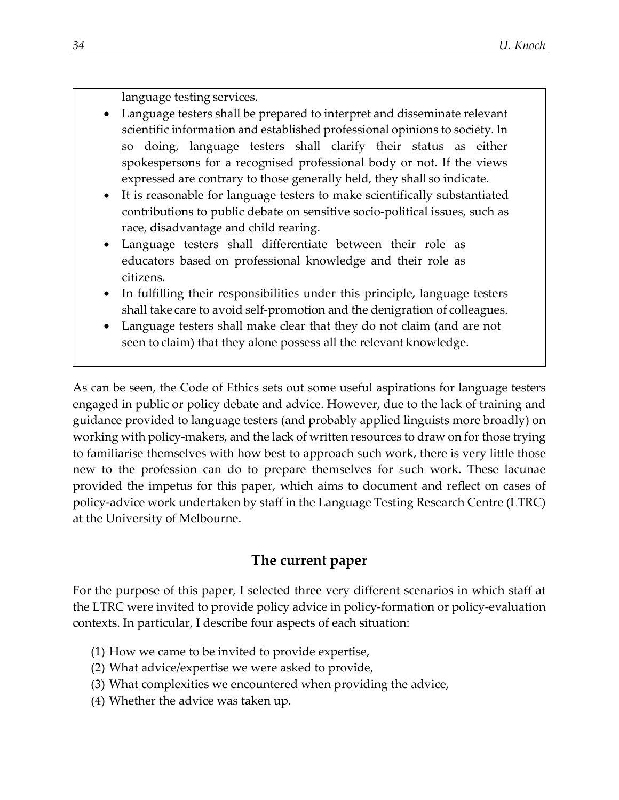language testing services.

- Language testers shall be prepared to interpret and disseminate relevant scientific information and established professional opinions to society. In so doing, language testers shall clarify their status as either spokespersons for a recognised professional body or not. If the views expressed are contrary to those generally held, they shall so indicate.
- It is reasonable for language testers to make scientifically substantiated contributions to public debate on sensitive socio-political issues, such as race, disadvantage and child rearing.
- Language testers shall differentiate between their role as educators based on professional knowledge and their role as citizens.
- In fulfilling their responsibilities under this principle, language testers shall take care to avoid self-promotion and the denigration of colleagues.
- Language testers shall make clear that they do not claim (and are not seen to claim) that they alone possess all the relevant knowledge.

As can be seen, the Code of Ethics sets out some useful aspirations for language testers engaged in public or policy debate and advice. However, due to the lack of training and guidance provided to language testers (and probably applied linguists more broadly) on working with policy-makers, and the lack of written resources to draw on for those trying to familiarise themselves with how best to approach such work, there is very little those new to the profession can do to prepare themselves for such work. These lacunae provided the impetus for this paper, which aims to document and reflect on cases of policy-advice work undertaken by staff in the Language Testing Research Centre (LTRC) at the University of Melbourne.

# **The current paper**

For the purpose of this paper, I selected three very different scenarios in which staff at the LTRC were invited to provide policy advice in policy-formation or policy-evaluation contexts. In particular, I describe four aspects of each situation:

- (1) How we came to be invited to provide expertise,
- (2) What advice/expertise we were asked to provide,
- (3) What complexities we encountered when providing the advice,
- (4) Whether the advice was taken up.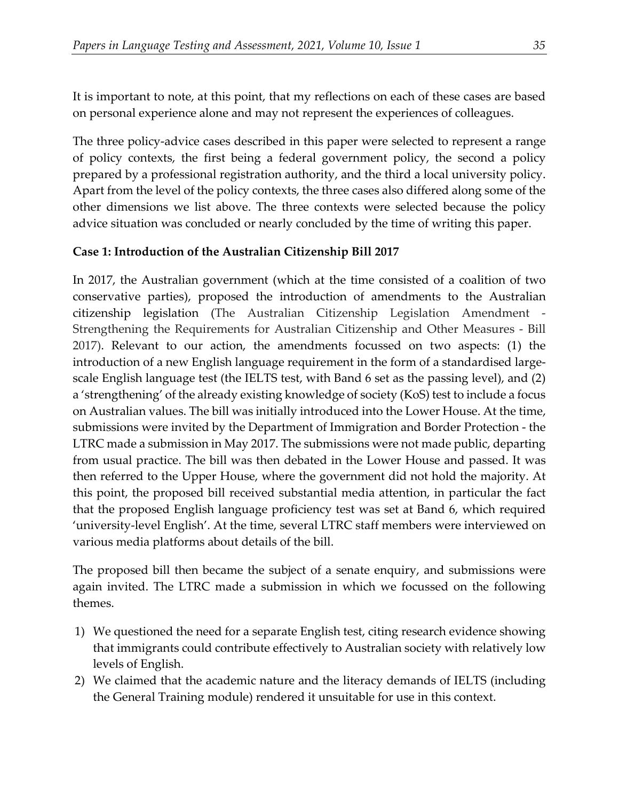It is important to note, at this point, that my reflections on each of these cases are based on personal experience alone and may not represent the experiences of colleagues.

The three policy-advice cases described in this paper were selected to represent a range of policy contexts, the first being a federal government policy, the second a policy prepared by a professional registration authority, and the third a local university policy. Apart from the level of the policy contexts, the three cases also differed along some of the other dimensions we list above. The three contexts were selected because the policy advice situation was concluded or nearly concluded by the time of writing this paper.

# **Case 1: Introduction of the Australian Citizenship Bill 2017**

In 2017, the Australian government (which at the time consisted of a coalition of two conservative parties), proposed the introduction of amendments to the Australian citizenship legislation (The Australian Citizenship Legislation Amendment - Strengthening the Requirements for Australian Citizenship and Other Measures - Bill 2017). Relevant to our action, the amendments focussed on two aspects: (1) the introduction of a new English language requirement in the form of a standardised largescale English language test (the IELTS test, with Band 6 set as the passing level), and (2) a 'strengthening' of the already existing knowledge of society (KoS) test to include a focus on Australian values. The bill was initially introduced into the Lower House. At the time, submissions were invited by the Department of Immigration and Border Protection - the LTRC made a submission in May 2017. The submissions were not made public, departing from usual practice. The bill was then debated in the Lower House and passed. It was then referred to the Upper House, where the government did not hold the majority. At this point, the proposed bill received substantial media attention, in particular the fact that the proposed English language proficiency test was set at Band 6, which required 'university-level English'. At the time, several LTRC staff members were interviewed on various media platforms about details of the bill.

The proposed bill then became the subject of a senate enquiry, and submissions were again invited. The LTRC made a submission in which we focussed on the following themes.

- 1) We questioned the need for a separate English test, citing research evidence showing that immigrants could contribute effectively to Australian society with relatively low levels of English.
- 2) We claimed that the academic nature and the literacy demands of IELTS (including the General Training module) rendered it unsuitable for use in this context.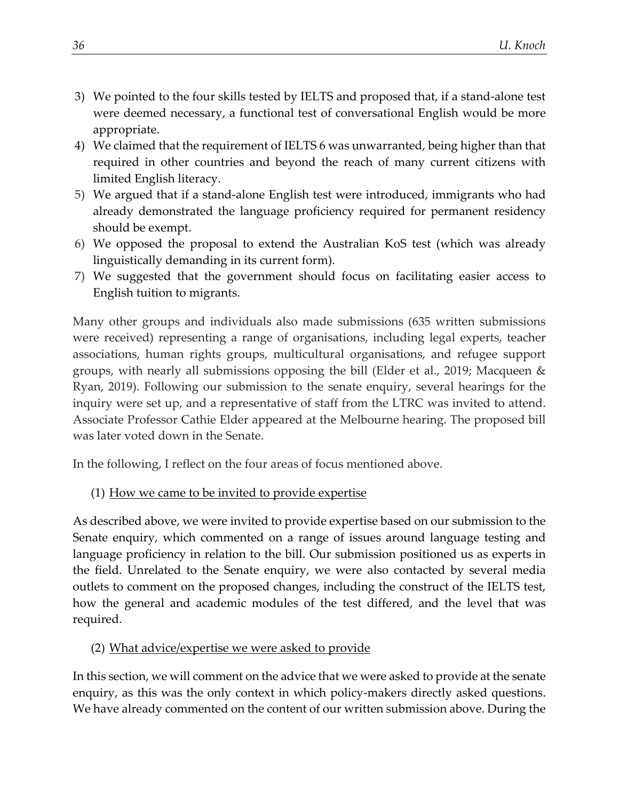- 3) We pointed to the four skills tested by IELTS and proposed that, if a stand-alone test were deemed necessary, a functional test of conversational English would be more appropriate.
- 4) We claimed that the requirement of IELTS 6 was unwarranted, being higher than that required in other countries and beyond the reach of many current citizens with limited English literacy.
- 5) We argued that if a stand-alone English test were introduced, immigrants who had already demonstrated the language proficiency required for permanent residency should be exempt.
- 6) We opposed the proposal to extend the Australian KoS test (which was already linguistically demanding in its current form).
- 7) We suggested that the government should focus on facilitating easier access to English tuition to migrants.

Many other groups and individuals also made submissions (635 written submissions were received) representing a range of organisations, including legal experts, teacher associations, human rights groups, multicultural organisations, and refugee support groups, with nearly all submissions opposing the bill (Elder et al., 2019; Macqueen & Ryan, 2019). Following our submission to the senate enquiry, several hearings for the inquiry were set up, and a representative of staff from the LTRC was invited to attend. Associate Professor Cathie Elder appeared at the Melbourne hearing. The proposed bill was later voted down in the Senate.

In the following, I reflect on the four areas of focus mentioned above.

# (1) How we came to be invited to provide expertise

As described above, we were invited to provide expertise based on our submission to the Senate enquiry, which commented on a range of issues around language testing and language proficiency in relation to the bill. Our submission positioned us as experts in the field. Unrelated to the Senate enquiry, we were also contacted by several media outlets to comment on the proposed changes, including the construct of the IELTS test, how the general and academic modules of the test differed, and the level that was required.

# (2) What advice/expertise we were asked to provide

In this section, we will comment on the advice that we were asked to provide at the senate enquiry, as this was the only context in which policy-makers directly asked questions. We have already commented on the content of our written submission above. During the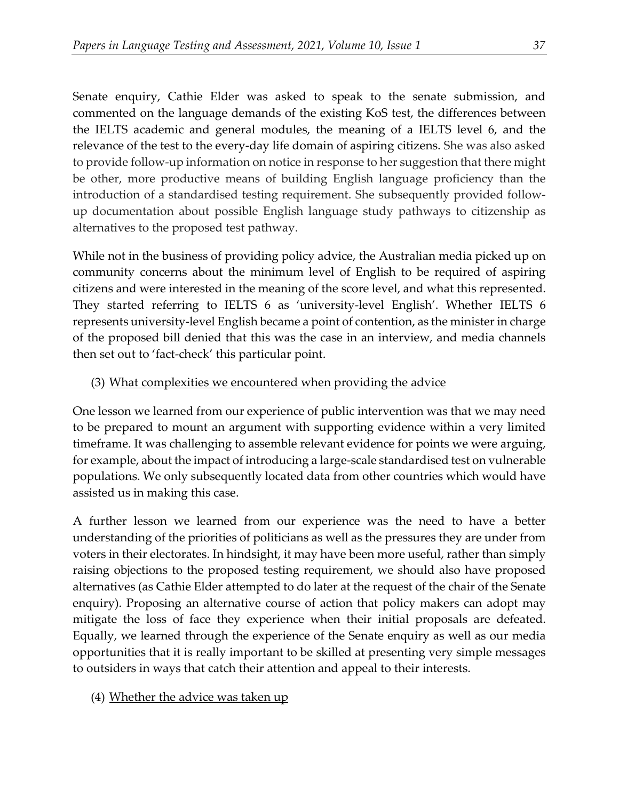Senate enquiry, Cathie Elder was asked to speak to the senate submission, and commented on the language demands of the existing KoS test, the differences between the IELTS academic and general modules, the meaning of a IELTS level 6, and the relevance of the test to the every-day life domain of aspiring citizens. She was also asked to provide follow-up information on notice in response to her suggestion that there might be other, more productive means of building English language proficiency than the introduction of a standardised testing requirement. She subsequently provided followup documentation about possible English language study pathways to citizenship as alternatives to the proposed test pathway.

While not in the business of providing policy advice, the Australian media picked up on community concerns about the minimum level of English to be required of aspiring citizens and were interested in the meaning of the score level, and what this represented. They started referring to IELTS 6 as 'university-level English'. Whether IELTS 6 represents university-level English became a point of contention, as the minister in charge of the proposed bill denied that this was the case in an interview, and media channels then set out to 'fact-check' this particular point.

# (3) What complexities we encountered when providing the advice

One lesson we learned from our experience of public intervention was that we may need to be prepared to mount an argument with supporting evidence within a very limited timeframe. It was challenging to assemble relevant evidence for points we were arguing, for example, about the impact of introducing a large-scale standardised test on vulnerable populations. We only subsequently located data from other countries which would have assisted us in making this case.

A further lesson we learned from our experience was the need to have a better understanding of the priorities of politicians as well as the pressures they are under from voters in their electorates. In hindsight, it may have been more useful, rather than simply raising objections to the proposed testing requirement, we should also have proposed alternatives (as Cathie Elder attempted to do later at the request of the chair of the Senate enquiry). Proposing an alternative course of action that policy makers can adopt may mitigate the loss of face they experience when their initial proposals are defeated. Equally, we learned through the experience of the Senate enquiry as well as our media opportunities that it is really important to be skilled at presenting very simple messages to outsiders in ways that catch their attention and appeal to their interests.

# (4) Whether the advice was taken up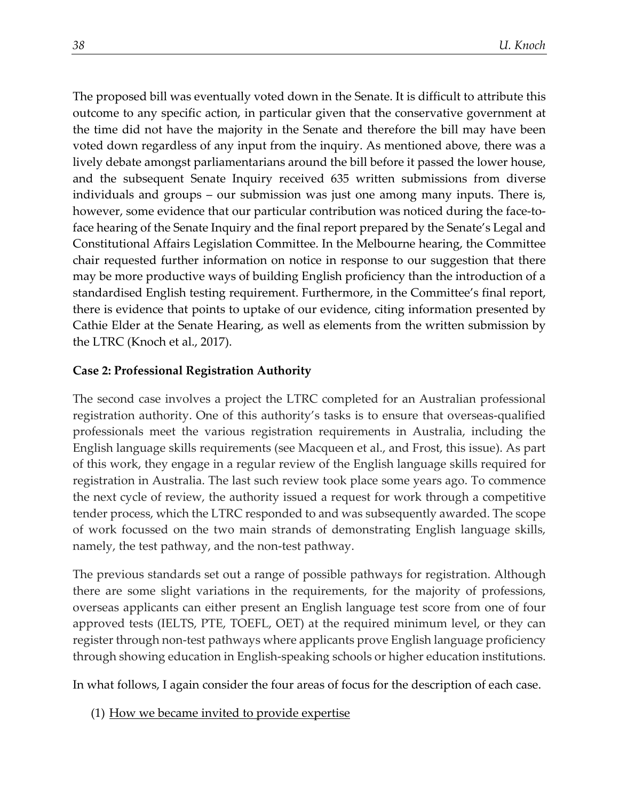The proposed bill was eventually voted down in the Senate. It is difficult to attribute this outcome to any specific action, in particular given that the conservative government at the time did not have the majority in the Senate and therefore the bill may have been voted down regardless of any input from the inquiry. As mentioned above, there was a lively debate amongst parliamentarians around the bill before it passed the lower house, and the subsequent Senate Inquiry received 635 written submissions from diverse individuals and groups – our submission was just one among many inputs. There is, however, some evidence that our particular contribution was noticed during the face-toface hearing of the Senate Inquiry and the final report prepared by the Senate's Legal and Constitutional Affairs Legislation Committee. In the Melbourne hearing, the Committee chair requested further information on notice in response to our suggestion that there may be more productive ways of building English proficiency than the introduction of a standardised English testing requirement. Furthermore, in the Committee's final report, there is evidence that points to uptake of our evidence, citing information presented by Cathie Elder at the Senate Hearing, as well as elements from the written submission by the LTRC (Knoch et al., 2017).

#### **Case 2: Professional Registration Authority**

The second case involves a project the LTRC completed for an Australian professional registration authority. One of this authority's tasks is to ensure that overseas-qualified professionals meet the various registration requirements in Australia, including the English language skills requirements (see Macqueen et al., and Frost, this issue). As part of this work, they engage in a regular review of the English language skills required for registration in Australia. The last such review took place some years ago. To commence the next cycle of review, the authority issued a request for work through a competitive tender process, which the LTRC responded to and was subsequently awarded. The scope of work focussed on the two main strands of demonstrating English language skills, namely, the test pathway, and the non-test pathway.

The previous standards set out a range of possible pathways for registration. Although there are some slight variations in the requirements, for the majority of professions, overseas applicants can either present an English language test score from one of four approved tests (IELTS, PTE, TOEFL, OET) at the required minimum level, or they can register through non-test pathways where applicants prove English language proficiency through showing education in English-speaking schools or higher education institutions.

In what follows, I again consider the four areas of focus for the description of each case.

(1) How we became invited to provide expertise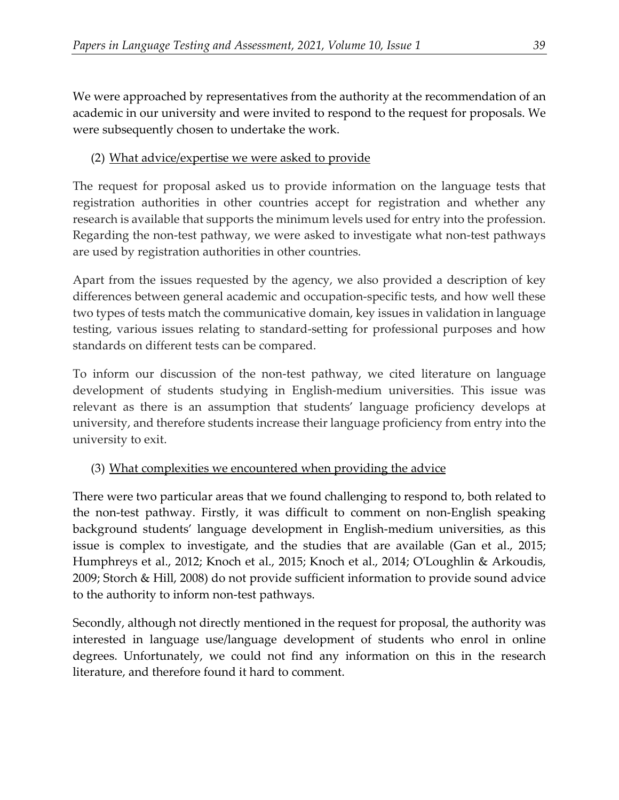We were approached by representatives from the authority at the recommendation of an academic in our university and were invited to respond to the request for proposals. We were subsequently chosen to undertake the work.

# (2) What advice/expertise we were asked to provide

The request for proposal asked us to provide information on the language tests that registration authorities in other countries accept for registration and whether any research is available that supports the minimum levels used for entry into the profession. Regarding the non-test pathway, we were asked to investigate what non-test pathways are used by registration authorities in other countries.

Apart from the issues requested by the agency, we also provided a description of key differences between general academic and occupation-specific tests, and how well these two types of tests match the communicative domain, key issues in validation in language testing, various issues relating to standard-setting for professional purposes and how standards on different tests can be compared.

To inform our discussion of the non-test pathway, we cited literature on language development of students studying in English-medium universities. This issue was relevant as there is an assumption that students' language proficiency develops at university, and therefore students increase their language proficiency from entry into the university to exit.

# (3) What complexities we encountered when providing the advice

There were two particular areas that we found challenging to respond to, both related to the non-test pathway. Firstly, it was difficult to comment on non-English speaking background students' language development in English-medium universities, as this issue is complex to investigate, and the studies that are available (Gan et al., 2015; Humphreys et al., 2012; Knoch et al., 2015; Knoch et al., 2014; O'Loughlin & Arkoudis, 2009; Storch & Hill, 2008) do not provide sufficient information to provide sound advice to the authority to inform non-test pathways.

Secondly, although not directly mentioned in the request for proposal, the authority was interested in language use/language development of students who enrol in online degrees. Unfortunately, we could not find any information on this in the research literature, and therefore found it hard to comment.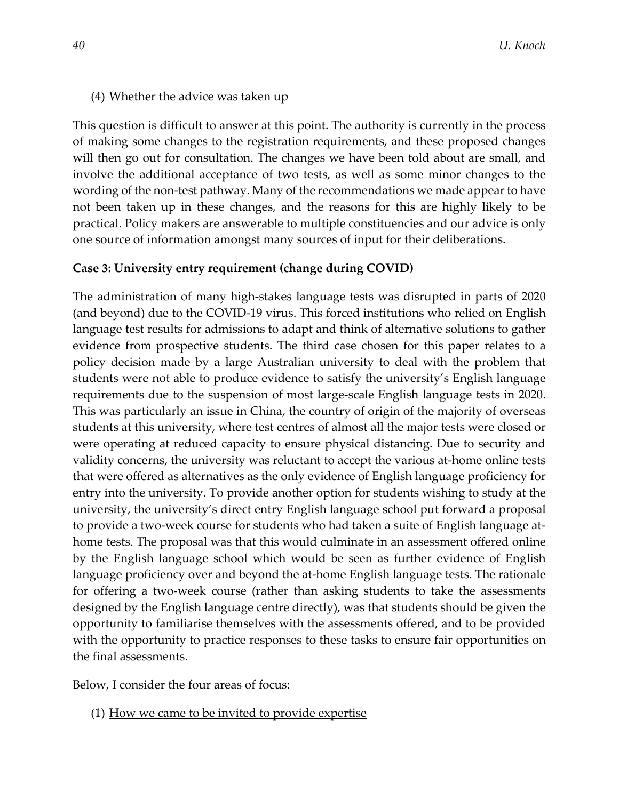#### (4) Whether the advice was taken up

This question is difficult to answer at this point. The authority is currently in the process of making some changes to the registration requirements, and these proposed changes will then go out for consultation. The changes we have been told about are small, and involve the additional acceptance of two tests, as well as some minor changes to the wording of the non-test pathway. Many of the recommendations we made appear to have not been taken up in these changes, and the reasons for this are highly likely to be practical. Policy makers are answerable to multiple constituencies and our advice is only one source of information amongst many sources of input for their deliberations.

#### **Case 3: University entry requirement (change during COVID)**

The administration of many high-stakes language tests was disrupted in parts of 2020 (and beyond) due to the COVID-19 virus. This forced institutions who relied on English language test results for admissions to adapt and think of alternative solutions to gather evidence from prospective students. The third case chosen for this paper relates to a policy decision made by a large Australian university to deal with the problem that students were not able to produce evidence to satisfy the university's English language requirements due to the suspension of most large-scale English language tests in 2020. This was particularly an issue in China, the country of origin of the majority of overseas students at this university, where test centres of almost all the major tests were closed or were operating at reduced capacity to ensure physical distancing. Due to security and validity concerns, the university was reluctant to accept the various at-home online tests that were offered as alternatives as the only evidence of English language proficiency for entry into the university. To provide another option for students wishing to study at the university, the university's direct entry English language school put forward a proposal to provide a two-week course for students who had taken a suite of English language athome tests. The proposal was that this would culminate in an assessment offered online by the English language school which would be seen as further evidence of English language proficiency over and beyond the at-home English language tests. The rationale for offering a two-week course (rather than asking students to take the assessments designed by the English language centre directly), was that students should be given the opportunity to familiarise themselves with the assessments offered, and to be provided with the opportunity to practice responses to these tasks to ensure fair opportunities on the final assessments.

Below, I consider the four areas of focus:

(1) How we came to be invited to provide expertise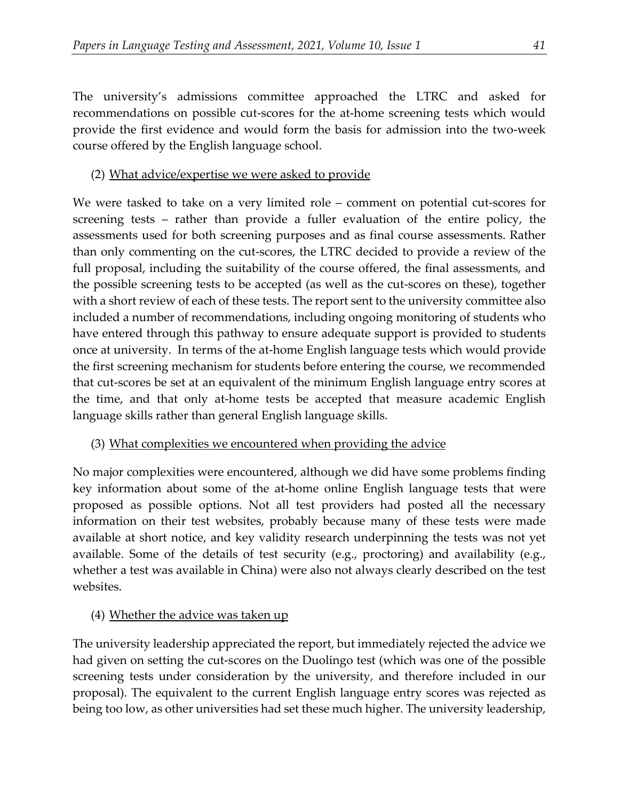The university's admissions committee approached the LTRC and asked for recommendations on possible cut-scores for the at-home screening tests which would provide the first evidence and would form the basis for admission into the two-week course offered by the English language school.

### (2) What advice/expertise we were asked to provide

We were tasked to take on a very limited role – comment on potential cut-scores for screening tests – rather than provide a fuller evaluation of the entire policy, the assessments used for both screening purposes and as final course assessments. Rather than only commenting on the cut-scores, the LTRC decided to provide a review of the full proposal, including the suitability of the course offered, the final assessments, and the possible screening tests to be accepted (as well as the cut-scores on these), together with a short review of each of these tests. The report sent to the university committee also included a number of recommendations, including ongoing monitoring of students who have entered through this pathway to ensure adequate support is provided to students once at university. In terms of the at-home English language tests which would provide the first screening mechanism for students before entering the course, we recommended that cut-scores be set at an equivalent of the minimum English language entry scores at the time, and that only at-home tests be accepted that measure academic English language skills rather than general English language skills.

#### (3) What complexities we encountered when providing the advice

No major complexities were encountered, although we did have some problems finding key information about some of the at-home online English language tests that were proposed as possible options. Not all test providers had posted all the necessary information on their test websites, probably because many of these tests were made available at short notice, and key validity research underpinning the tests was not yet available. Some of the details of test security (e.g., proctoring) and availability (e.g., whether a test was available in China) were also not always clearly described on the test websites.

# (4) Whether the advice was taken up

The university leadership appreciated the report, but immediately rejected the advice we had given on setting the cut-scores on the Duolingo test (which was one of the possible screening tests under consideration by the university, and therefore included in our proposal). The equivalent to the current English language entry scores was rejected as being too low, as other universities had set these much higher. The university leadership,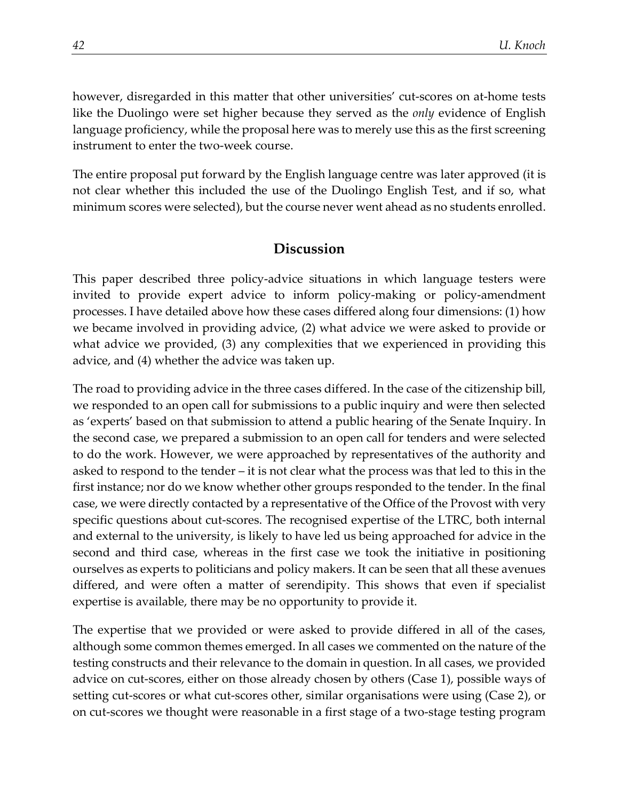however, disregarded in this matter that other universities' cut-scores on at-home tests like the Duolingo were set higher because they served as the *only* evidence of English language proficiency, while the proposal here was to merely use this as the first screening instrument to enter the two-week course.

The entire proposal put forward by the English language centre was later approved (it is not clear whether this included the use of the Duolingo English Test, and if so, what minimum scores were selected), but the course never went ahead as no students enrolled.

### **Discussion**

This paper described three policy-advice situations in which language testers were invited to provide expert advice to inform policy-making or policy-amendment processes. I have detailed above how these cases differed along four dimensions: (1) how we became involved in providing advice, (2) what advice we were asked to provide or what advice we provided, (3) any complexities that we experienced in providing this advice, and (4) whether the advice was taken up.

The road to providing advice in the three cases differed. In the case of the citizenship bill, we responded to an open call for submissions to a public inquiry and were then selected as 'experts' based on that submission to attend a public hearing of the Senate Inquiry. In the second case, we prepared a submission to an open call for tenders and were selected to do the work. However, we were approached by representatives of the authority and asked to respond to the tender – it is not clear what the process was that led to this in the first instance; nor do we know whether other groups responded to the tender. In the final case, we were directly contacted by a representative of the Office of the Provost with very specific questions about cut-scores. The recognised expertise of the LTRC, both internal and external to the university, is likely to have led us being approached for advice in the second and third case, whereas in the first case we took the initiative in positioning ourselves as experts to politicians and policy makers. It can be seen that all these avenues differed, and were often a matter of serendipity. This shows that even if specialist expertise is available, there may be no opportunity to provide it.

The expertise that we provided or were asked to provide differed in all of the cases, although some common themes emerged. In all cases we commented on the nature of the testing constructs and their relevance to the domain in question. In all cases, we provided advice on cut-scores, either on those already chosen by others (Case 1), possible ways of setting cut-scores or what cut-scores other, similar organisations were using (Case 2), or on cut-scores we thought were reasonable in a first stage of a two-stage testing program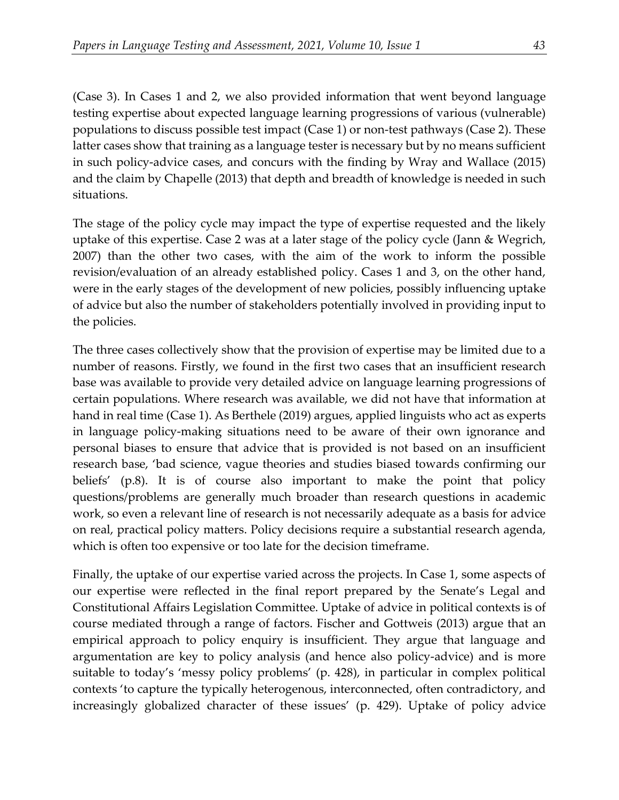(Case 3). In Cases 1 and 2, we also provided information that went beyond language testing expertise about expected language learning progressions of various (vulnerable) populations to discuss possible test impact (Case 1) or non-test pathways (Case 2). These latter cases show that training as a language tester is necessary but by no means sufficient in such policy-advice cases, and concurs with the finding by Wray and Wallace (2015) and the claim by Chapelle (2013) that depth and breadth of knowledge is needed in such situations.

The stage of the policy cycle may impact the type of expertise requested and the likely uptake of this expertise. Case 2 was at a later stage of the policy cycle (Jann & Wegrich, 2007) than the other two cases, with the aim of the work to inform the possible revision/evaluation of an already established policy. Cases 1 and 3, on the other hand, were in the early stages of the development of new policies, possibly influencing uptake of advice but also the number of stakeholders potentially involved in providing input to the policies.

The three cases collectively show that the provision of expertise may be limited due to a number of reasons. Firstly, we found in the first two cases that an insufficient research base was available to provide very detailed advice on language learning progressions of certain populations. Where research was available, we did not have that information at hand in real time (Case 1). As Berthele (2019) argues, applied linguists who act as experts in language policy-making situations need to be aware of their own ignorance and personal biases to ensure that advice that is provided is not based on an insufficient research base, 'bad science, vague theories and studies biased towards confirming our beliefs' (p.8). It is of course also important to make the point that policy questions/problems are generally much broader than research questions in academic work, so even a relevant line of research is not necessarily adequate as a basis for advice on real, practical policy matters. Policy decisions require a substantial research agenda, which is often too expensive or too late for the decision timeframe.

Finally, the uptake of our expertise varied across the projects. In Case 1, some aspects of our expertise were reflected in the final report prepared by the Senate's Legal and Constitutional Affairs Legislation Committee. Uptake of advice in political contexts is of course mediated through a range of factors. Fischer and Gottweis (2013) argue that an empirical approach to policy enquiry is insufficient. They argue that language and argumentation are key to policy analysis (and hence also policy-advice) and is more suitable to today's 'messy policy problems' (p. 428), in particular in complex political contexts 'to capture the typically heterogenous, interconnected, often contradictory, and increasingly globalized character of these issues' (p. 429). Uptake of policy advice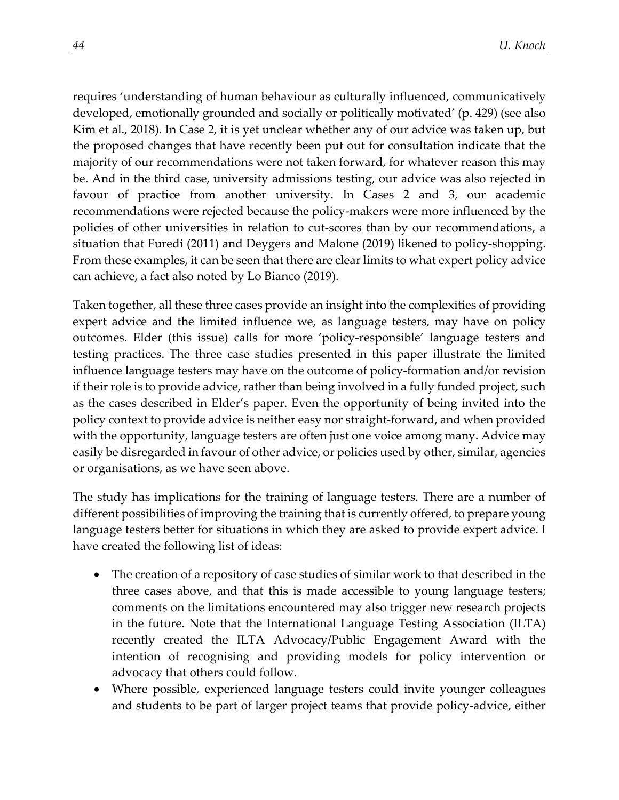requires 'understanding of human behaviour as culturally influenced, communicatively developed, emotionally grounded and socially or politically motivated' (p. 429) (see also Kim et al., 2018). In Case 2, it is yet unclear whether any of our advice was taken up, but the proposed changes that have recently been put out for consultation indicate that the majority of our recommendations were not taken forward, for whatever reason this may be. And in the third case, university admissions testing, our advice was also rejected in favour of practice from another university. In Cases 2 and 3, our academic recommendations were rejected because the policy-makers were more influenced by the policies of other universities in relation to cut-scores than by our recommendations, a situation that Furedi (2011) and Deygers and Malone (2019) likened to policy-shopping. From these examples, it can be seen that there are clear limits to what expert policy advice can achieve, a fact also noted by Lo Bianco (2019).

Taken together, all these three cases provide an insight into the complexities of providing expert advice and the limited influence we, as language testers, may have on policy outcomes. Elder (this issue) calls for more 'policy-responsible' language testers and testing practices. The three case studies presented in this paper illustrate the limited influence language testers may have on the outcome of policy-formation and/or revision if their role is to provide advice, rather than being involved in a fully funded project, such as the cases described in Elder's paper. Even the opportunity of being invited into the policy context to provide advice is neither easy nor straight-forward, and when provided with the opportunity, language testers are often just one voice among many. Advice may easily be disregarded in favour of other advice, or policies used by other, similar, agencies or organisations, as we have seen above.

The study has implications for the training of language testers. There are a number of different possibilities of improving the training that is currently offered, to prepare young language testers better for situations in which they are asked to provide expert advice. I have created the following list of ideas:

- The creation of a repository of case studies of similar work to that described in the three cases above, and that this is made accessible to young language testers; comments on the limitations encountered may also trigger new research projects in the future. Note that the International Language Testing Association (ILTA) recently created the ILTA Advocacy/Public Engagement Award with the intention of recognising and providing models for policy intervention or advocacy that others could follow.
- Where possible, experienced language testers could invite younger colleagues and students to be part of larger project teams that provide policy-advice, either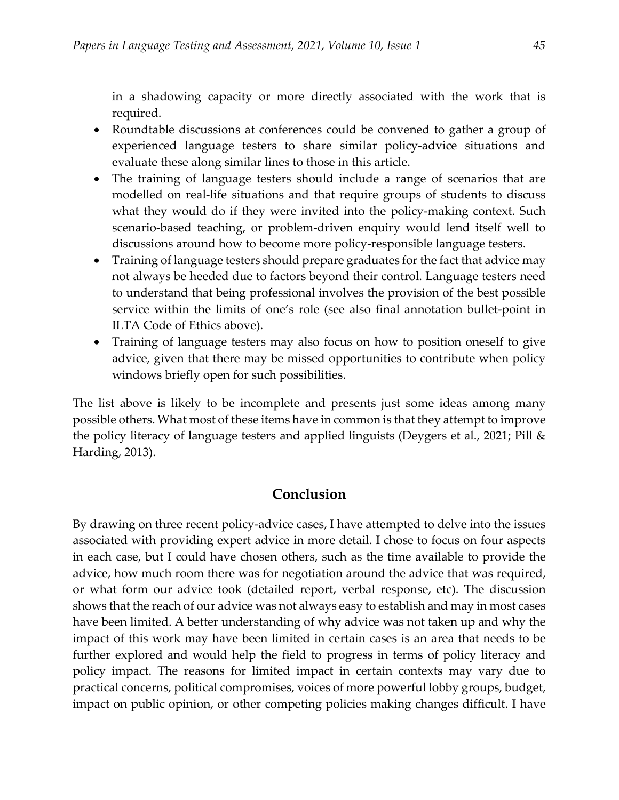in a shadowing capacity or more directly associated with the work that is required.

- Roundtable discussions at conferences could be convened to gather a group of experienced language testers to share similar policy-advice situations and evaluate these along similar lines to those in this article.
- The training of language testers should include a range of scenarios that are modelled on real-life situations and that require groups of students to discuss what they would do if they were invited into the policy-making context. Such scenario-based teaching, or problem-driven enquiry would lend itself well to discussions around how to become more policy-responsible language testers.
- Training of language testers should prepare graduates for the fact that advice may not always be heeded due to factors beyond their control. Language testers need to understand that being professional involves the provision of the best possible service within the limits of one's role (see also final annotation bullet-point in ILTA Code of Ethics above).
- Training of language testers may also focus on how to position oneself to give advice, given that there may be missed opportunities to contribute when policy windows briefly open for such possibilities.

The list above is likely to be incomplete and presents just some ideas among many possible others. What most of these items have in common is that they attempt to improve the policy literacy of language testers and applied linguists (Deygers et al., 2021; Pill & Harding, 2013).

# **Conclusion**

By drawing on three recent policy-advice cases, I have attempted to delve into the issues associated with providing expert advice in more detail. I chose to focus on four aspects in each case, but I could have chosen others, such as the time available to provide the advice, how much room there was for negotiation around the advice that was required, or what form our advice took (detailed report, verbal response, etc). The discussion shows that the reach of our advice was not always easy to establish and may in most cases have been limited. A better understanding of why advice was not taken up and why the impact of this work may have been limited in certain cases is an area that needs to be further explored and would help the field to progress in terms of policy literacy and policy impact. The reasons for limited impact in certain contexts may vary due to practical concerns, political compromises, voices of more powerful lobby groups, budget, impact on public opinion, or other competing policies making changes difficult. I have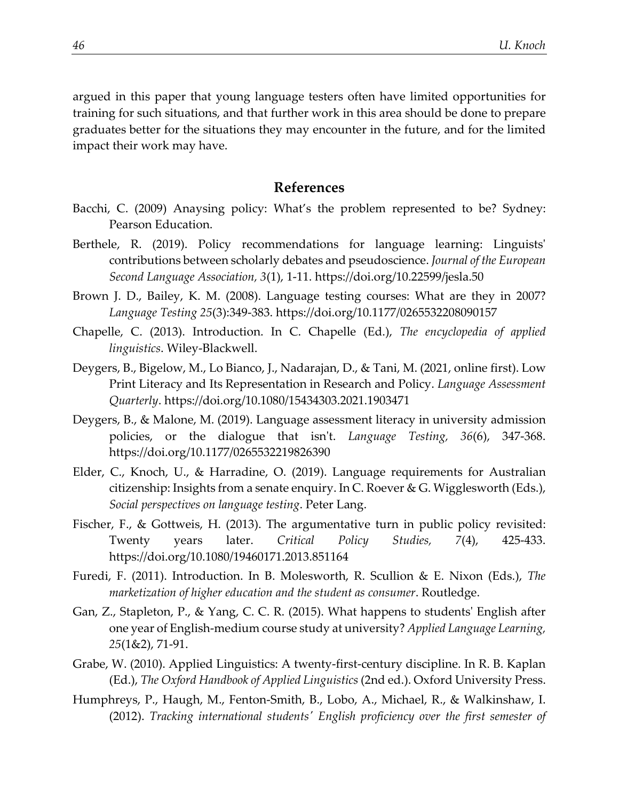argued in this paper that young language testers often have limited opportunities for training for such situations, and that further work in this area should be done to prepare graduates better for the situations they may encounter in the future, and for the limited impact their work may have.

#### **References**

- Bacchi, C. (2009) Anaysing policy: What's the problem represented to be? Sydney: Pearson Education.
- Berthele, R. (2019). Policy recommendations for language learning: Linguists' contributions between scholarly debates and pseudoscience. *Journal of the European Second Language Association, 3*(1), 1-11. https://doi.org/10.22599/jesla.50
- Brown J. D., Bailey, K. M. (2008). Language testing courses: What are they in 2007? *Language Testing 25*(3):349-383. https://doi.org/10.1177/0265532208090157
- Chapelle, C. (2013). Introduction. In C. Chapelle (Ed.), *The encyclopedia of applied linguistics*. Wiley-Blackwell.
- Deygers, B., Bigelow, M., Lo Bianco, J., Nadarajan, D., & Tani, M. (2021, online first). Low Print Literacy and Its Representation in Research and Policy. *Language Assessment Quarterly*. https://doi.org/10.1080/15434303.2021.1903471
- Deygers, B., & Malone, M. (2019). Language assessment literacy in university admission policies, or the dialogue that isn't. *Language Testing, 36*(6), 347-368. https://doi.org/10.1177/0265532219826390
- Elder, C., Knoch, U., & Harradine, O. (2019). Language requirements for Australian citizenship: Insights from a senate enquiry. In C. Roever & G. Wigglesworth (Eds.), *Social perspectives on language testing*. Peter Lang.
- Fischer, F., & Gottweis, H. (2013). The argumentative turn in public policy revisited: Twenty years later. *Critical Policy Studies, 7*(4), 425-433. https://doi.org/10.1080/19460171.2013.851164
- Furedi, F. (2011). Introduction. In B. Molesworth, R. Scullion & E. Nixon (Eds.), *The marketization of higher education and the student as consumer*. Routledge.
- Gan, Z., Stapleton, P., & Yang, C. C. R. (2015). What happens to students' English after one year of English-medium course study at university? *Applied Language Learning, 25*(1&2), 71-91.
- Grabe, W. (2010). Applied Linguistics: A twenty-first-century discipline. In R. B. Kaplan (Ed.), *The Oxford Handbook of Applied Linguistics* (2nd ed.). Oxford University Press.
- Humphreys, P., Haugh, M., Fenton-Smith, B., Lobo, A., Michael, R., & Walkinshaw, I. (2012). *Tracking international students' English proficiency over the first semester of*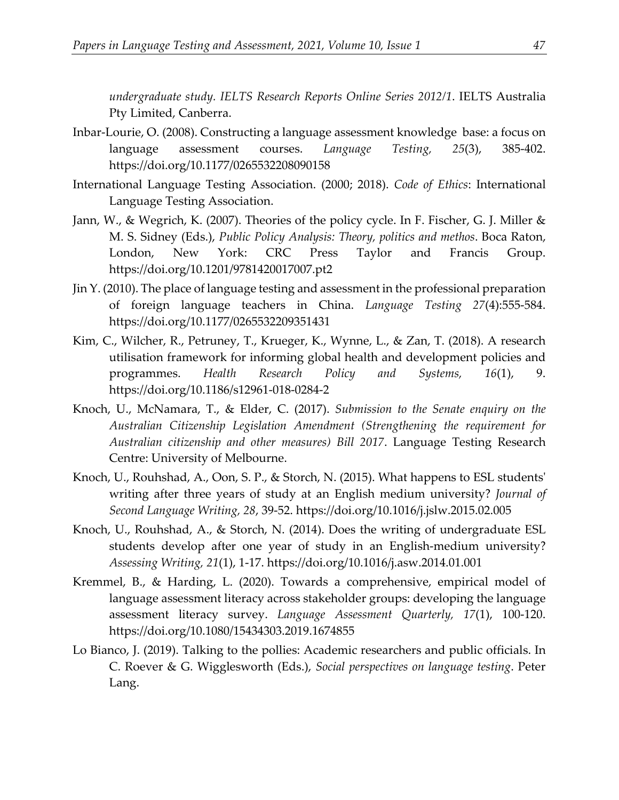*undergraduate study. IELTS Research Reports Online Series 2012/1*. IELTS Australia Pty Limited, Canberra.

- Inbar-Lourie, O. (2008). Constructing a language assessment knowledge base: a focus on language assessment courses. *Language Testing, 25*(3), 385-402. https://doi.org/10.1177/0265532208090158
- International Language Testing Association. (2000; 2018). *Code of Ethics*: International Language Testing Association.
- Jann, W., & Wegrich, K. (2007). Theories of the policy cycle. In F. Fischer, G. J. Miller & M. S. Sidney (Eds.), *Public Policy Analysis: Theory, politics and methos*. Boca Raton, London, New York: CRC Press Taylor and Francis Group. https://doi.org/10.1201/9781420017007.pt2
- Jin Y. (2010). The place of language testing and assessment in the professional preparation of foreign language teachers in China. *Language Testing 27*(4):555-584. https://doi.org/10.1177/0265532209351431
- Kim, C., Wilcher, R., Petruney, T., Krueger, K., Wynne, L., & Zan, T. (2018). A research utilisation framework for informing global health and development policies and programmes. *Health Research Policy and Systems, 16*(1), 9. https://doi.org/10.1186/s12961-018-0284-2
- Knoch, U., McNamara, T., & Elder, C. (2017). *Submission to the Senate enquiry on the Australian Citizenship Legislation Amendment (Strengthening the requirement for Australian citizenship and other measures) Bill 2017*. Language Testing Research Centre: University of Melbourne.
- Knoch, U., Rouhshad, A., Oon, S. P., & Storch, N. (2015). What happens to ESL students' writing after three years of study at an English medium university? *Journal of Second Language Writing, 28*, 39-52. https://doi.org/10.1016/j.jslw.2015.02.005
- Knoch, U., Rouhshad, A., & Storch, N. (2014). Does the writing of undergraduate ESL students develop after one year of study in an English-medium university? *Assessing Writing, 21*(1), 1-17. https://doi.org/10.1016/j.asw.2014.01.001
- Kremmel, B., & Harding, L. (2020). Towards a comprehensive, empirical model of language assessment literacy across stakeholder groups: developing the language assessment literacy survey. *Language Assessment Quarterly, 17*(1), 100-120. https://doi.org/10.1080/15434303.2019.1674855
- Lo Bianco, J. (2019). Talking to the pollies: Academic researchers and public officials. In C. Roever & G. Wigglesworth (Eds.), *Social perspectives on language testing*. Peter Lang.